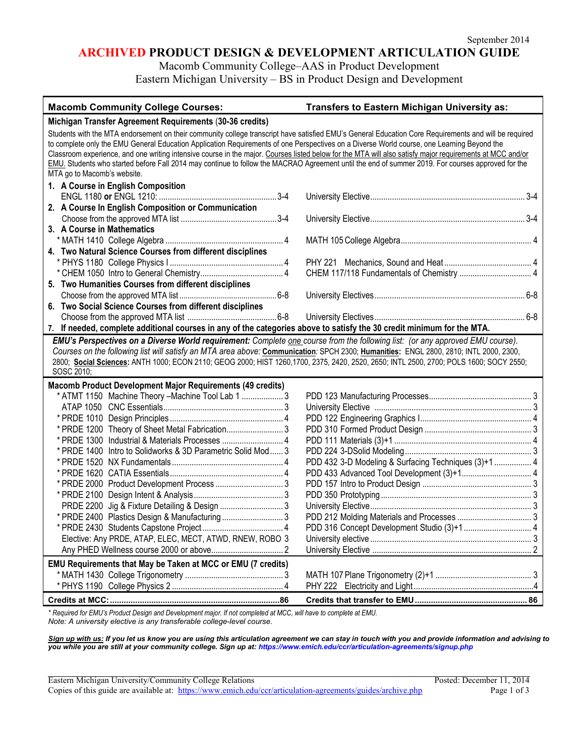# **ARCHIVED PRODUCT DESIGN & DEVELOPMENT ARTICULATION GUIDE**

Macomb Community College–AAS in Product Development

Eastern Michigan University – BS in Product Design and Development

| <b>Macomb Community College Courses:</b>                                                                                                                                                                                                                                                                                                                                                                                                                                                                                                                                                                                                            | Transfers to Eastern Michigan University as:         |  |  |  |
|-----------------------------------------------------------------------------------------------------------------------------------------------------------------------------------------------------------------------------------------------------------------------------------------------------------------------------------------------------------------------------------------------------------------------------------------------------------------------------------------------------------------------------------------------------------------------------------------------------------------------------------------------------|------------------------------------------------------|--|--|--|
| Michigan Transfer Agreement Requirements (30-36 credits)                                                                                                                                                                                                                                                                                                                                                                                                                                                                                                                                                                                            |                                                      |  |  |  |
| Students with the MTA endorsement on their community college transcript have satisfied EMU's General Education Core Requirements and will be required<br>to complete only the EMU General Education Application Requirements of one Perspectives on a Diverse World course, one Learning Beyond the<br>Classroom experience, and one writing intensive course in the major. Courses listed below for the MTA will also satisfy major requirements at MCC and/or<br>EMU. Students who started before Fall 2014 may continue to follow the MACRAO Agreement until the end of summer 2019. For courses approved for the<br>MTA go to Macomb's website. |                                                      |  |  |  |
| 1. A Course in English Composition                                                                                                                                                                                                                                                                                                                                                                                                                                                                                                                                                                                                                  |                                                      |  |  |  |
|                                                                                                                                                                                                                                                                                                                                                                                                                                                                                                                                                                                                                                                     |                                                      |  |  |  |
| 2. A Course In English Composition or Communication                                                                                                                                                                                                                                                                                                                                                                                                                                                                                                                                                                                                 |                                                      |  |  |  |
|                                                                                                                                                                                                                                                                                                                                                                                                                                                                                                                                                                                                                                                     |                                                      |  |  |  |
| 3. A Course in Mathematics                                                                                                                                                                                                                                                                                                                                                                                                                                                                                                                                                                                                                          |                                                      |  |  |  |
|                                                                                                                                                                                                                                                                                                                                                                                                                                                                                                                                                                                                                                                     |                                                      |  |  |  |
| 4. Two Natural Science Courses from different disciplines                                                                                                                                                                                                                                                                                                                                                                                                                                                                                                                                                                                           |                                                      |  |  |  |
|                                                                                                                                                                                                                                                                                                                                                                                                                                                                                                                                                                                                                                                     |                                                      |  |  |  |
|                                                                                                                                                                                                                                                                                                                                                                                                                                                                                                                                                                                                                                                     |                                                      |  |  |  |
| 5. Two Humanities Courses from different disciplines                                                                                                                                                                                                                                                                                                                                                                                                                                                                                                                                                                                                |                                                      |  |  |  |
| 6. Two Social Science Courses from different disciplines                                                                                                                                                                                                                                                                                                                                                                                                                                                                                                                                                                                            |                                                      |  |  |  |
|                                                                                                                                                                                                                                                                                                                                                                                                                                                                                                                                                                                                                                                     |                                                      |  |  |  |
| 7. If needed, complete additional courses in any of the categories above to satisfy the 30 credit minimum for the MTA.                                                                                                                                                                                                                                                                                                                                                                                                                                                                                                                              |                                                      |  |  |  |
| EMU's Perspectives on a Diverse World requirement: Complete one course from the following list: (or any approved EMU course).                                                                                                                                                                                                                                                                                                                                                                                                                                                                                                                       |                                                      |  |  |  |
| Courses on the following list will satisfy an MTA area above: Communication: SPCH 2300; Humanities: ENGL 2800, 2810; INTL 2000, 2300,                                                                                                                                                                                                                                                                                                                                                                                                                                                                                                               |                                                      |  |  |  |
| 2800; Social Sciences: ANTH 1000; ECON 2110; GEOG 2000; HIST 1260,1700, 2375, 2420, 2520, 2650; INTL 2500, 2700; POLS 1600; SOCY 2550;                                                                                                                                                                                                                                                                                                                                                                                                                                                                                                              |                                                      |  |  |  |
| SOSC 2010;                                                                                                                                                                                                                                                                                                                                                                                                                                                                                                                                                                                                                                          |                                                      |  |  |  |
| <b>Macomb Product Development Major Requirements (49 credits)</b>                                                                                                                                                                                                                                                                                                                                                                                                                                                                                                                                                                                   |                                                      |  |  |  |
| * ATMT 1150 Machine Theory - Machine Tool Lab 1  3                                                                                                                                                                                                                                                                                                                                                                                                                                                                                                                                                                                                  |                                                      |  |  |  |
|                                                                                                                                                                                                                                                                                                                                                                                                                                                                                                                                                                                                                                                     |                                                      |  |  |  |
|                                                                                                                                                                                                                                                                                                                                                                                                                                                                                                                                                                                                                                                     |                                                      |  |  |  |
| * PRDE 1200 Theory of Sheet Metal Fabrication3                                                                                                                                                                                                                                                                                                                                                                                                                                                                                                                                                                                                      |                                                      |  |  |  |
|                                                                                                                                                                                                                                                                                                                                                                                                                                                                                                                                                                                                                                                     |                                                      |  |  |  |
| * PRDE 1400 Intro to Solidworks & 3D Parametric Solid Mod 3                                                                                                                                                                                                                                                                                                                                                                                                                                                                                                                                                                                         |                                                      |  |  |  |
|                                                                                                                                                                                                                                                                                                                                                                                                                                                                                                                                                                                                                                                     | PDD 432 3-D Modeling & Surfacing Techniques (3)+1  4 |  |  |  |
|                                                                                                                                                                                                                                                                                                                                                                                                                                                                                                                                                                                                                                                     |                                                      |  |  |  |
| * PRDE 2000 Product Development Process  3                                                                                                                                                                                                                                                                                                                                                                                                                                                                                                                                                                                                          |                                                      |  |  |  |
|                                                                                                                                                                                                                                                                                                                                                                                                                                                                                                                                                                                                                                                     |                                                      |  |  |  |
|                                                                                                                                                                                                                                                                                                                                                                                                                                                                                                                                                                                                                                                     |                                                      |  |  |  |
| * PRDE 2400 Plastics Design & Manufacturing 3                                                                                                                                                                                                                                                                                                                                                                                                                                                                                                                                                                                                       |                                                      |  |  |  |
|                                                                                                                                                                                                                                                                                                                                                                                                                                                                                                                                                                                                                                                     |                                                      |  |  |  |
| Elective: Any PRDE, ATAP, ELEC, MECT, ATWD, RNEW, ROBO 3                                                                                                                                                                                                                                                                                                                                                                                                                                                                                                                                                                                            |                                                      |  |  |  |
|                                                                                                                                                                                                                                                                                                                                                                                                                                                                                                                                                                                                                                                     |                                                      |  |  |  |
| EMU Requirements that May be Taken at MCC or EMU (7 credits)                                                                                                                                                                                                                                                                                                                                                                                                                                                                                                                                                                                        |                                                      |  |  |  |
|                                                                                                                                                                                                                                                                                                                                                                                                                                                                                                                                                                                                                                                     |                                                      |  |  |  |
|                                                                                                                                                                                                                                                                                                                                                                                                                                                                                                                                                                                                                                                     |                                                      |  |  |  |
| Dreading Deview and Development motor If not completed at 1400 will be                                                                                                                                                                                                                                                                                                                                                                                                                                                                                                                                                                              |                                                      |  |  |  |

*\* Required for EMU's Product Design and Development major. If not completed at MCC, will have to complete at EMU. Note: A university elective is any transferable college-level course.*

*Sign up with us: If you let us know you are using this articulation agreement we can stay in touch with you and provide information and advising to you while you are still at your community college. Sign up at: https://www.emich.edu/ccr/articulation-agreements/signup.php*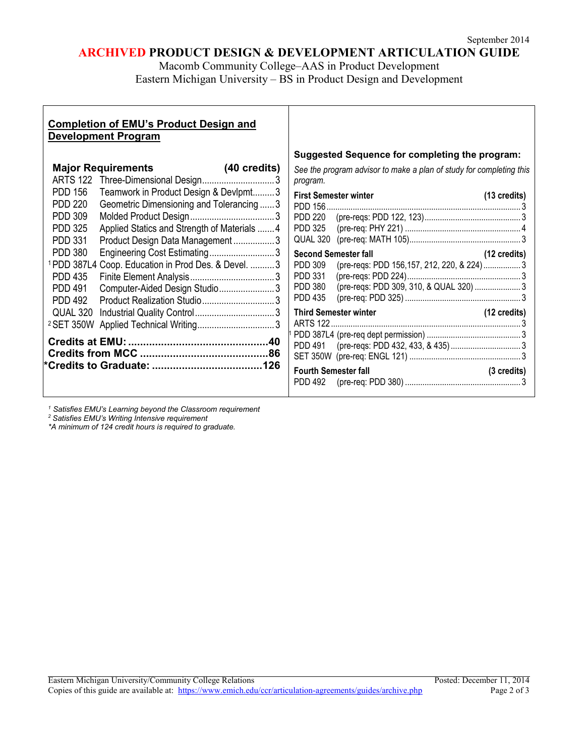# **ARCHIVED PRODUCT DESIGN & DEVELOPMENT ARTICULATION GUIDE**

Macomb Community College–AAS in Product Development Eastern Michigan University – BS in Product Design and Development

## **Completion of EMU's Product Design and Development Program**

|                       | <b>Major Requirements</b>                                       | (40 credits) |
|-----------------------|-----------------------------------------------------------------|--------------|
|                       | ARTS 122 Three-Dimensional Design3                              |              |
| PDD 156               | Teamwork in Product Design & Devlpmt3                           |              |
| PDD 220               | Geometric Dimensioning and Tolerancing  3                       |              |
| PDD 309               |                                                                 |              |
| <b>PDD 325</b>        | Applied Statics and Strength of Materials 4                     |              |
| PDD 331               | Product Design Data Management3                                 |              |
| <b>PDD 380</b>        | Engineering Cost Estimating3                                    |              |
|                       | <sup>1</sup> PDD 387L4 Coop. Education in Prod Des. & Devel.  3 |              |
| <b>PDD 435</b>        |                                                                 |              |
| <b>PDD 491</b>        | Computer-Aided Design Studio3                                   |              |
| <b>PDD 492</b>        | Product Realization Studio3                                     |              |
| QUAL 320              |                                                                 |              |
| <sup>2</sup> SET 350W | Applied Technical Writing 3                                     |              |
|                       |                                                                 |              |
|                       |                                                                 |              |
|                       |                                                                 |              |
|                       |                                                                 |              |

## **Suggested Sequence for completing the program:**

*See the program advisor to make a plan of study for completing this program.*

| PDD 156                          | <b>First Semester winter</b>               | $(13 \text{ credits})$ |
|----------------------------------|--------------------------------------------|------------------------|
| PDD 220<br><b>PDD 325</b>        |                                            |                        |
| QUAL 320                         |                                            |                        |
|                                  | <b>Second Semester fall</b>                | $(12 \text{ credits})$ |
| PDD 309                          | (pre-reqs: PDD 156,157, 212, 220, & 224) 3 |                        |
| <b>PDD 331</b>                   |                                            |                        |
| <b>PDD 380</b><br><b>PDD 435</b> |                                            |                        |
|                                  | <b>Third Semester winter</b>               | $(12 \text{ credits})$ |
|                                  |                                            |                        |
|                                  |                                            |                        |
|                                  |                                            |                        |
| <b>Fourth Semester fall</b>      |                                            | $(3 \text{ credits})$  |
|                                  |                                            |                        |

*<sup>1</sup> Satisfies EMU's Learning beyond the Classroom requirement*

*<sup>2</sup> Satisfies EMU's Writing Intensive requirement*

*\*A minimum of 124 credit hours is required to graduate.*